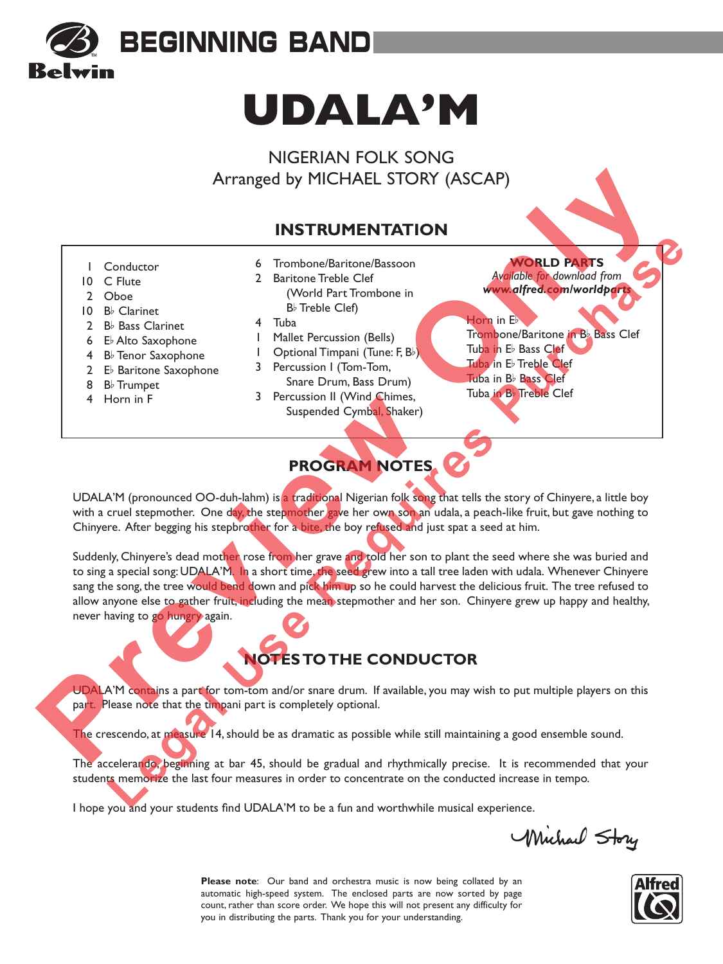

# **UDALA'M**

NIGERIAN FOLK SONG Arranged by MICHAEL STORY (ASCAP)

### **INSTRUMENTATION**

- 1 Conductor
- 10 C Flute
- 2 Oboe
- 10 B% Clarinet
- 2 B<sub>b</sub> Bass Clarinet
- 6 E% Alto Saxophone
- 4 B<sub>b</sub> Tenor Saxophone
- 2 E% Baritone Saxophone
- 8  $B\flat$  Trumpet
- 4 Horn in F
- 6 Trombone/Baritone/Bassoon
- 2 Baritone Treble Clef (World Part Trombone in B% Treble Clef)
- 4 Tuba
- 1 Mallet Percussion (Bells)
- 1 Optional Timpani (Tune: F,  $B_{\nu}$ )
- 3 Percussion I (Tom-Tom, Snare Drum, Bass Drum)
- 3 Percussion II (Wind Chimes, Suspended Cymbal, Shaker)

**WORLD PARTS** *Available for download from www.alfred.com/worldparts*

Horn in E Trombone/Baritone in Bb Bass Clef Tuba in E<sub>b</sub> Bass Clef Tuba in E<sub></sub> Treble Clef Tuba in B<sub>b</sub> Bass Clef Tuba in B<sub>2</sub> Treble Clef

## **PROGRAM NOTES**

UDALA'M (pronounced OO-duh-lahm) is a traditional Nigerian folk song that tells the story of Chinyere, a little boy with a cruel stepmother. One day, the stepmother gave her own son an udala, a peach-like fruit, but gave nothing to Chinyere. After begging his stepbrother for a bite, the boy refused and just spat a seed at him.

Suddenly, Chinyere's dead mother rose from her grave and told her son to plant the seed where she was buried and to sing a special song: UDALA'M. In a short time, the seed grew into a tall tree laden with udala. Whenever Chinyere sang the song, the tree would bend down and pick him up so he could harvest the delicious fruit. The tree refused to allow anyone else to gather fruit, including the mean stepmother and her son. Chinyere grew up happy and healthy, never having to go hungry again. **Preview of the Case of the Case of the Case of the Case of the Case of the Case of the Case of the Case of the Case of the Case of the Case of the Case of the Case of the Case of the Case of the Case of the Case of the Ca** Conductor **Example 1** Tembook Distance Conduction Conductor<br>
2 Bartoon Tesle Cer<br>
2 Bartoon Tesle Cer<br>
2 Bartoon Tesle Cer<br>
2 Bartoon Tesle Cer<br>
2 Bartoon Tesle Cer<br>
2 Bartoon Tesle Cer<br>
2 Bartoon Inc. Complement in the se

## **NOTES TO THE CONDUCTOR**

UDALA'M contains a part for tom-tom and/or snare drum. If available, you may wish to put multiple players on this part. Please note that the timpani part is completely optional.

The crescendo, at measure 14, should be as dramatic as possible while still maintaining a good ensemble sound.

The accelerando, beginning at bar 45, should be gradual and rhythmically precise. It is recommended that your students memorize the last four measures in order to concentrate on the conducted increase in tempo.

I hope you and your students find UDALA'M to be a fun and worthwhile musical experience.

Michael Story

**Please note**: Our band and orchestra music is now being collated by an automatic high-speed system. The enclosed parts are now sorted by page count, rather than score order. We hope this will not present any difficulty for you in distributing the parts. Thank you for your understanding.

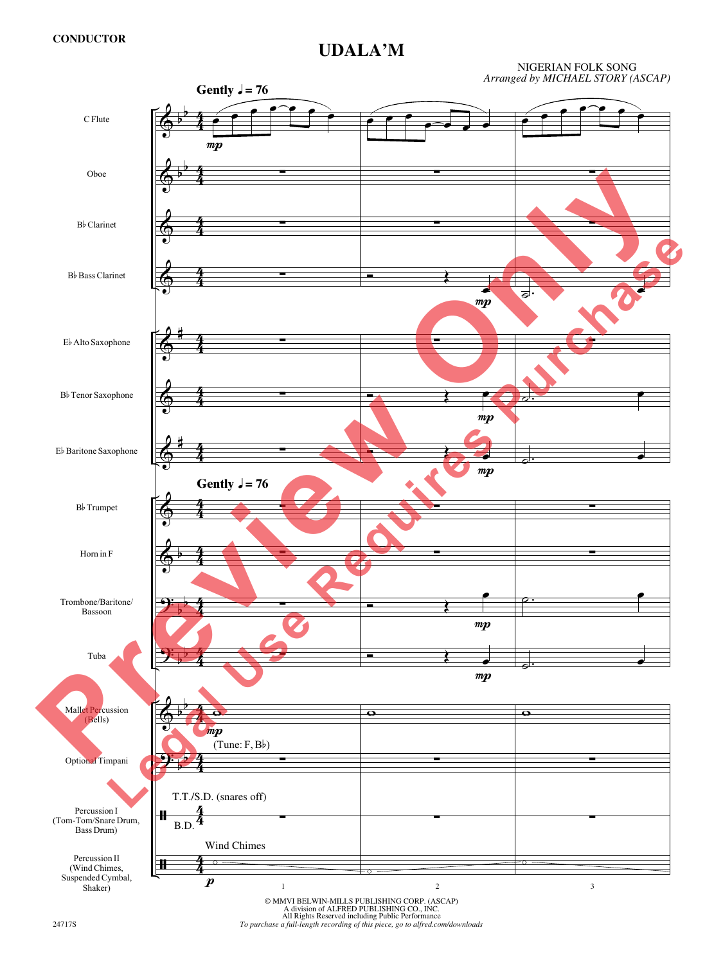**UDALA'M**



*To purchase a full-length recording of this piece, go to alfred.com/downloads*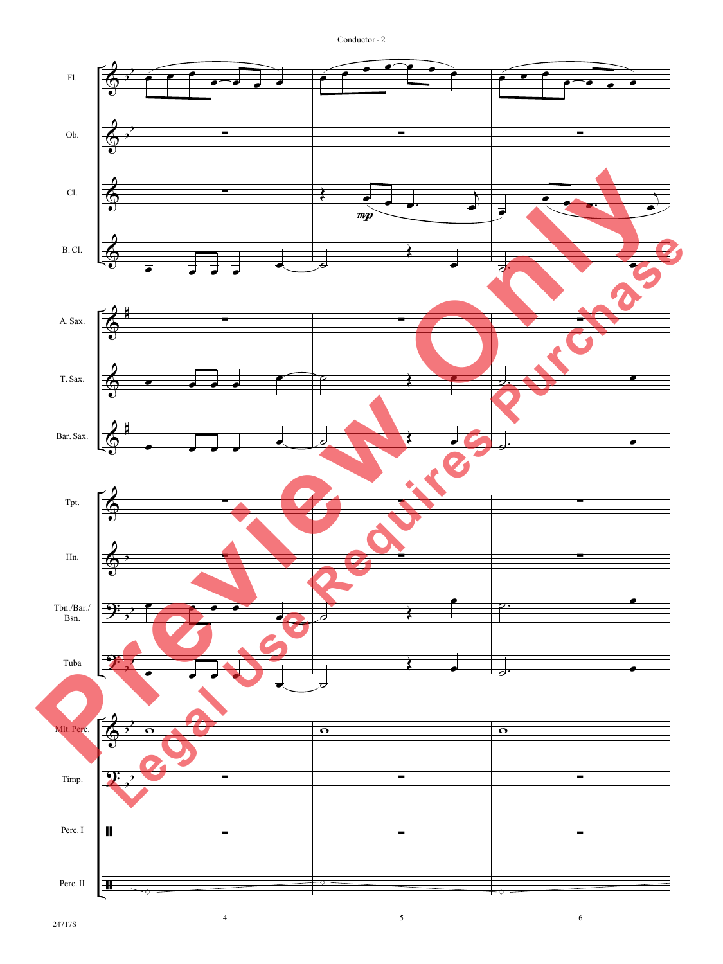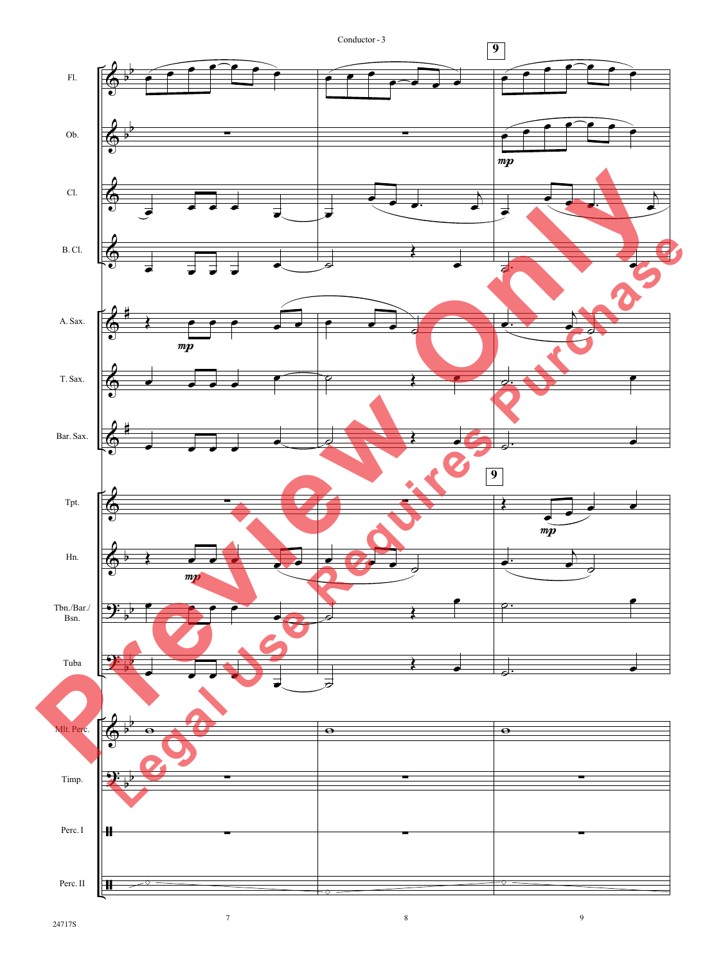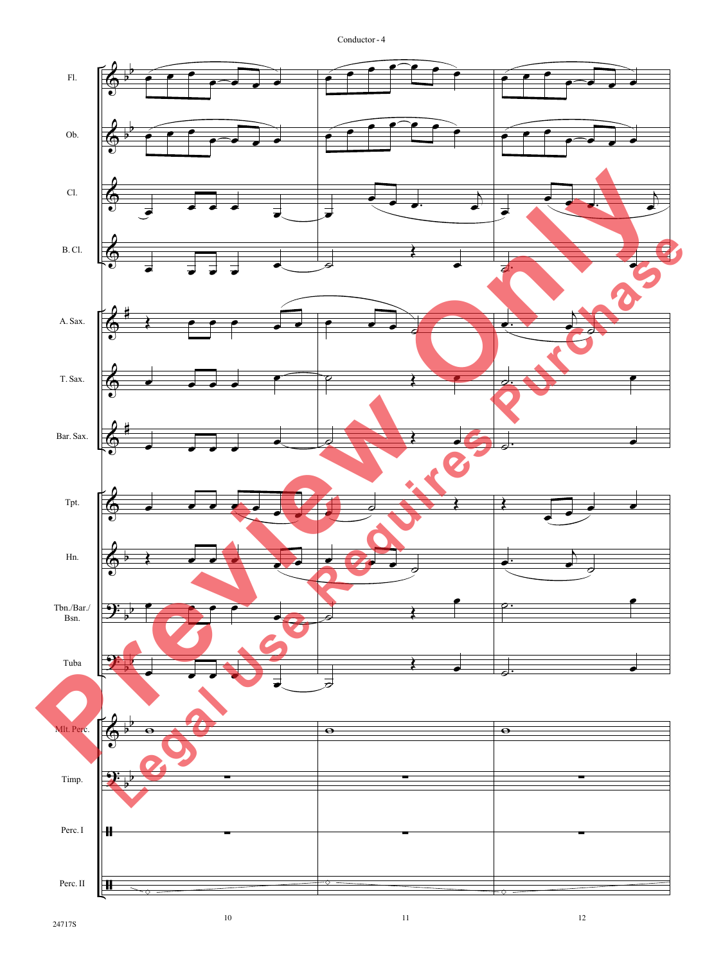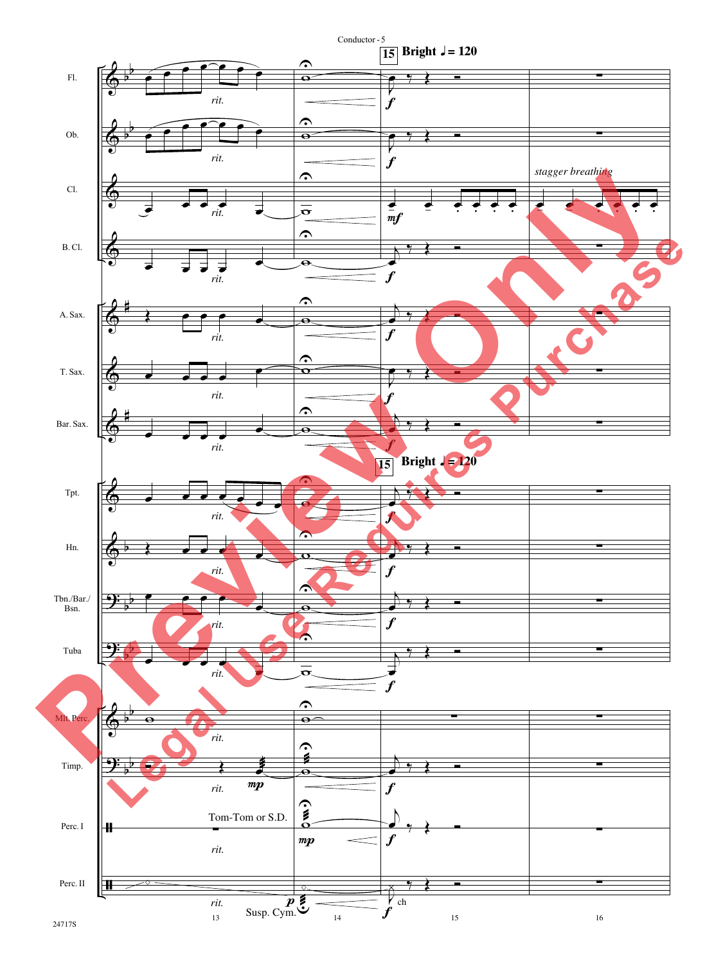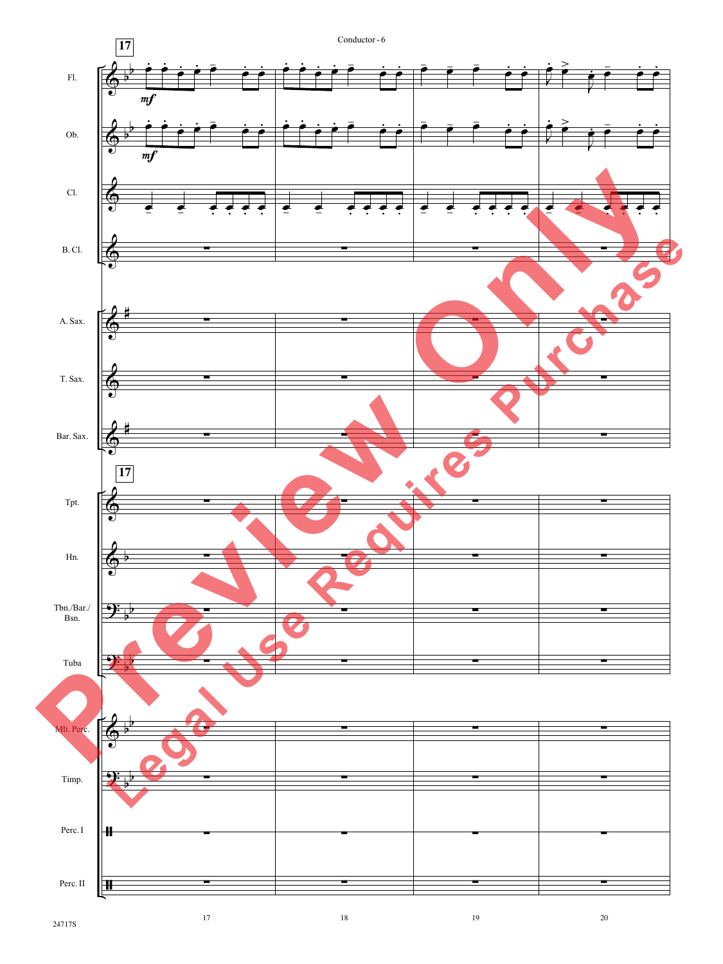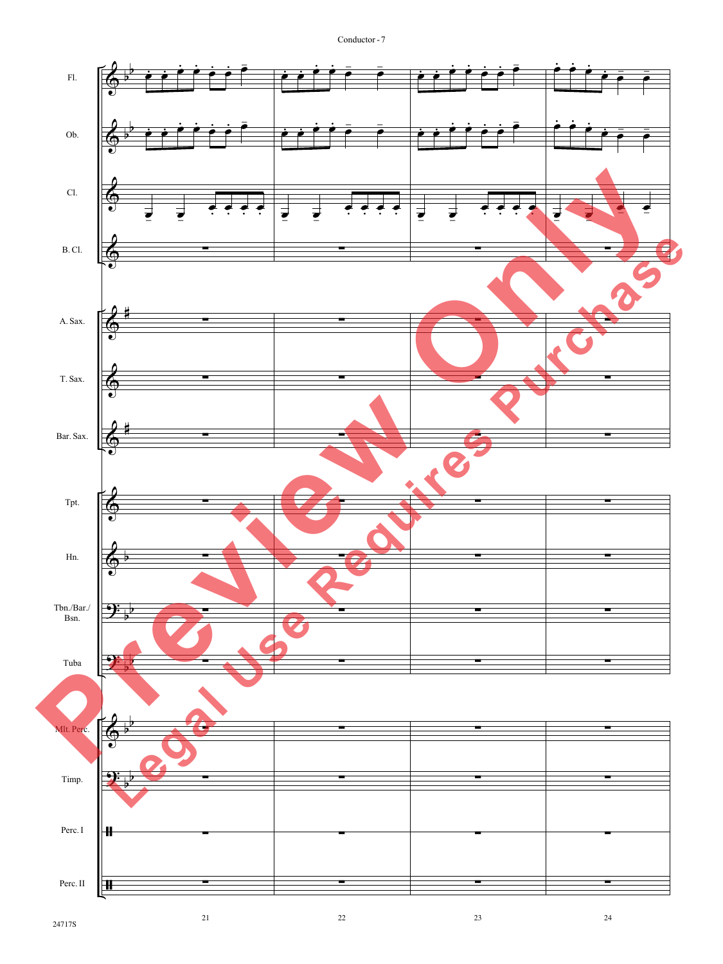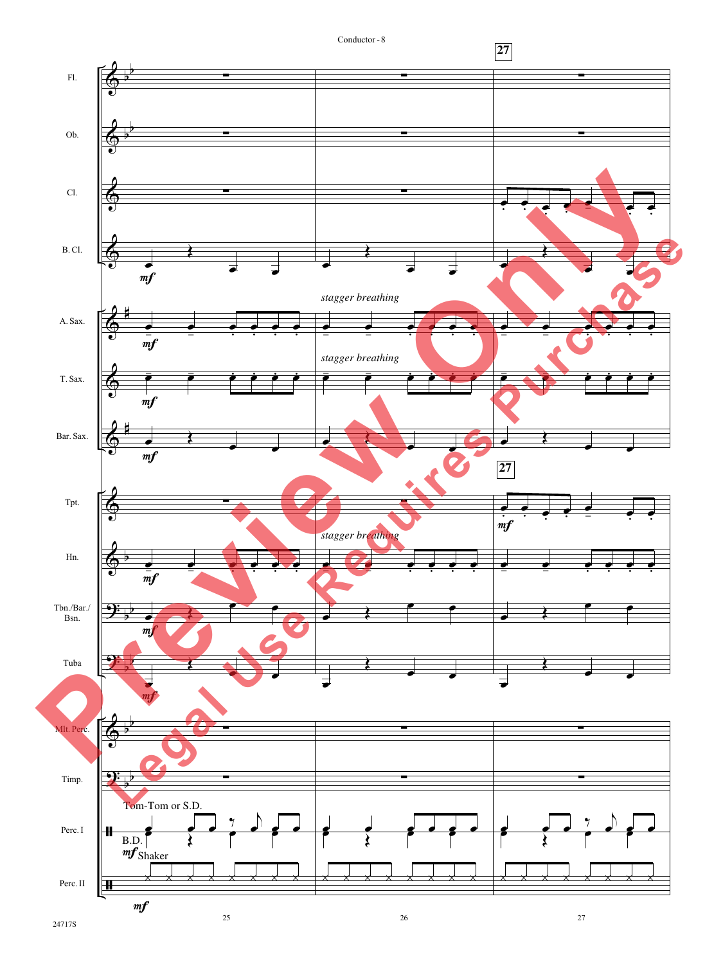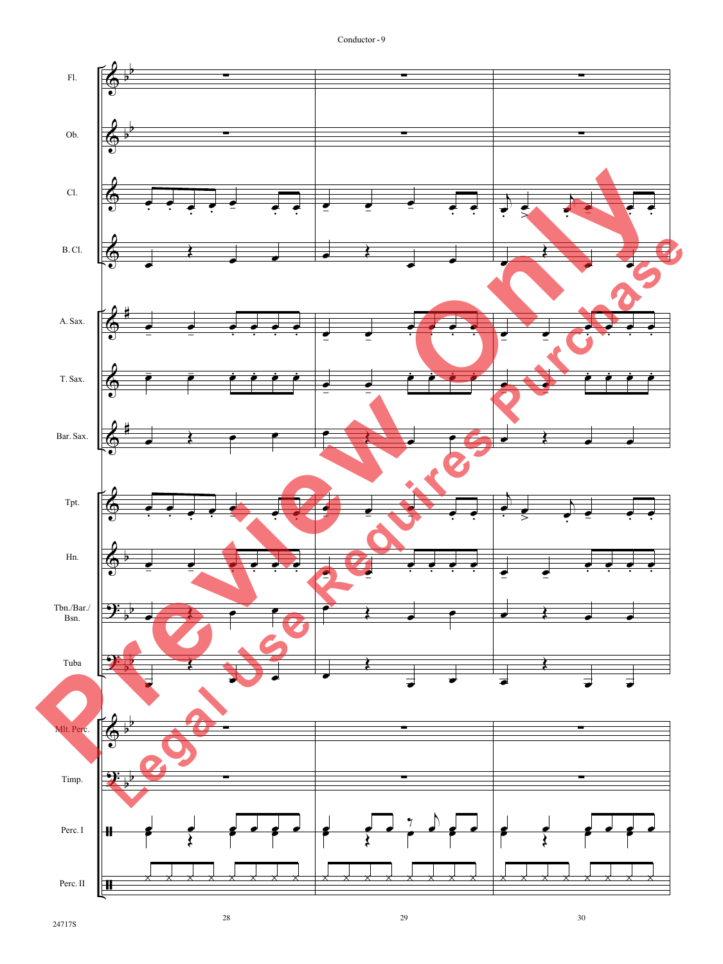

29

 $30\,$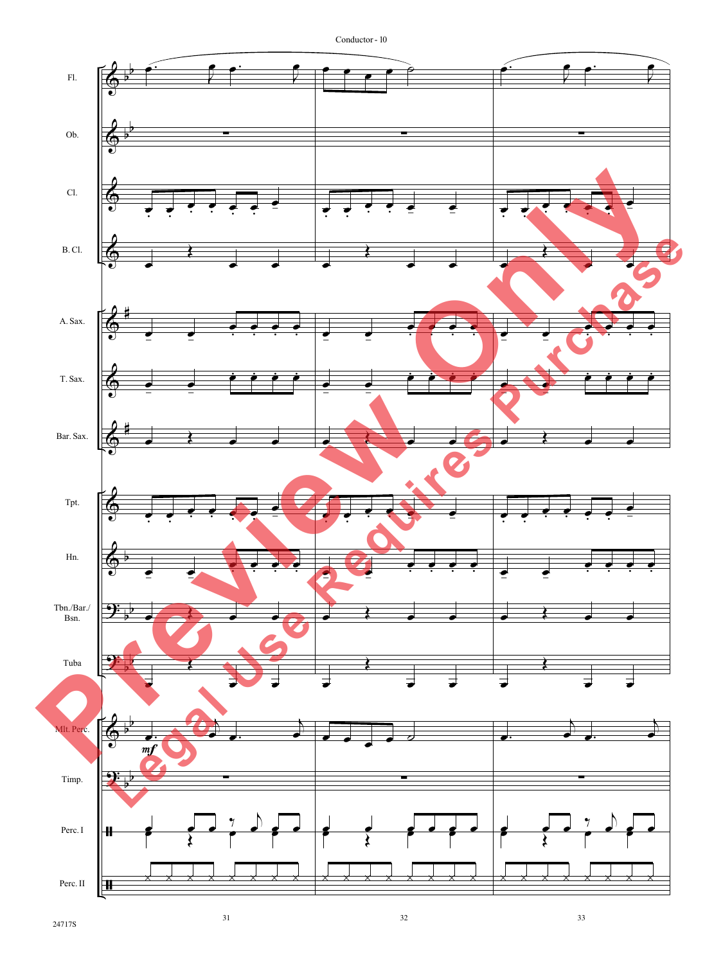Conductor -  $10\,$ 



 $31$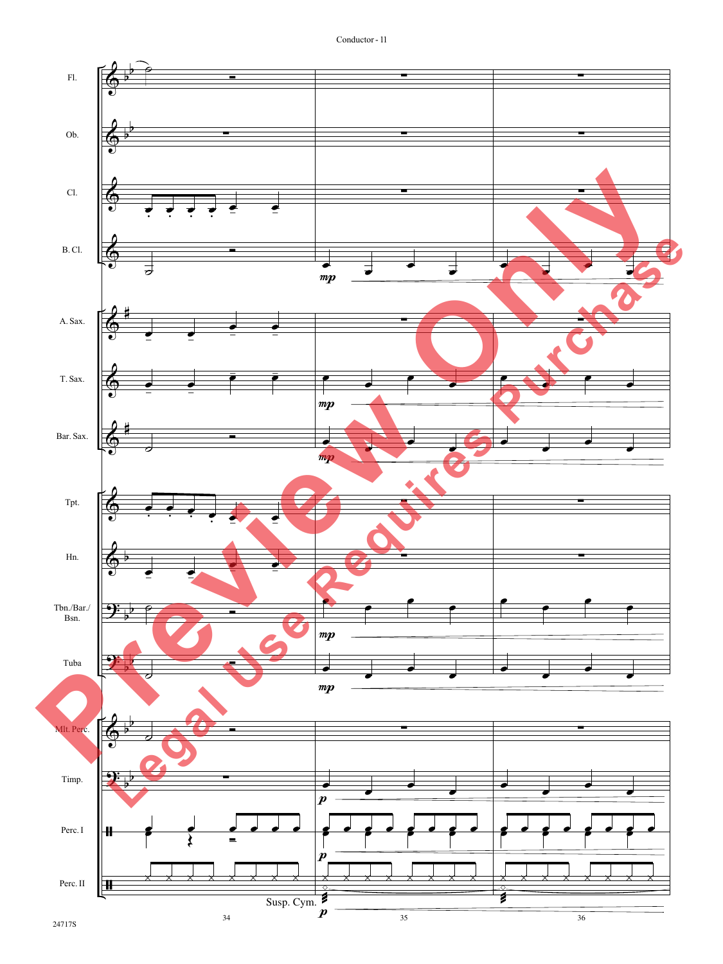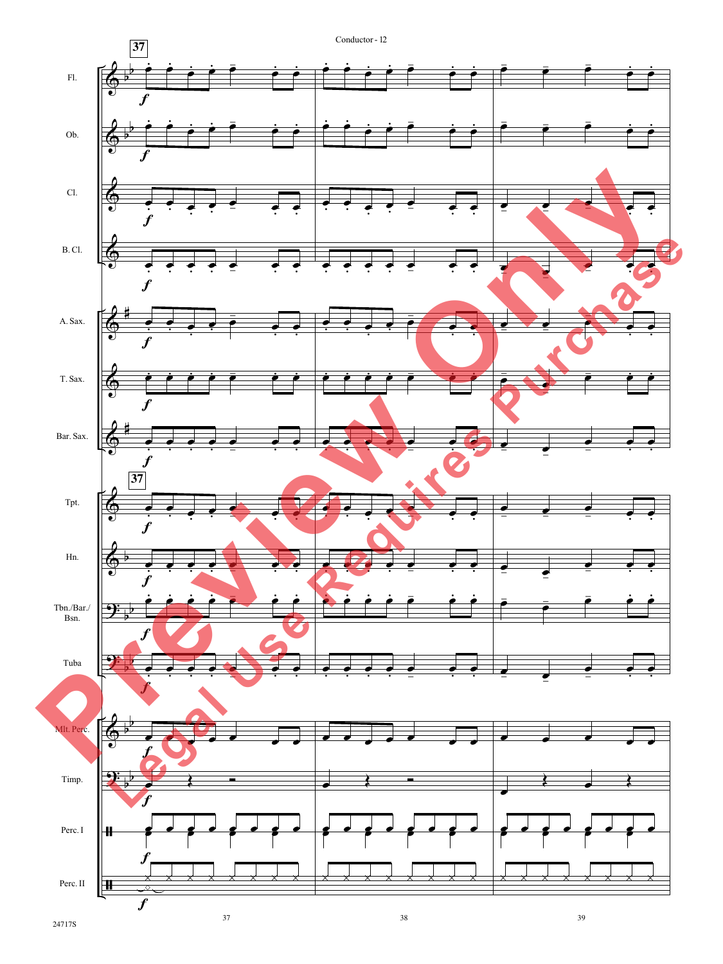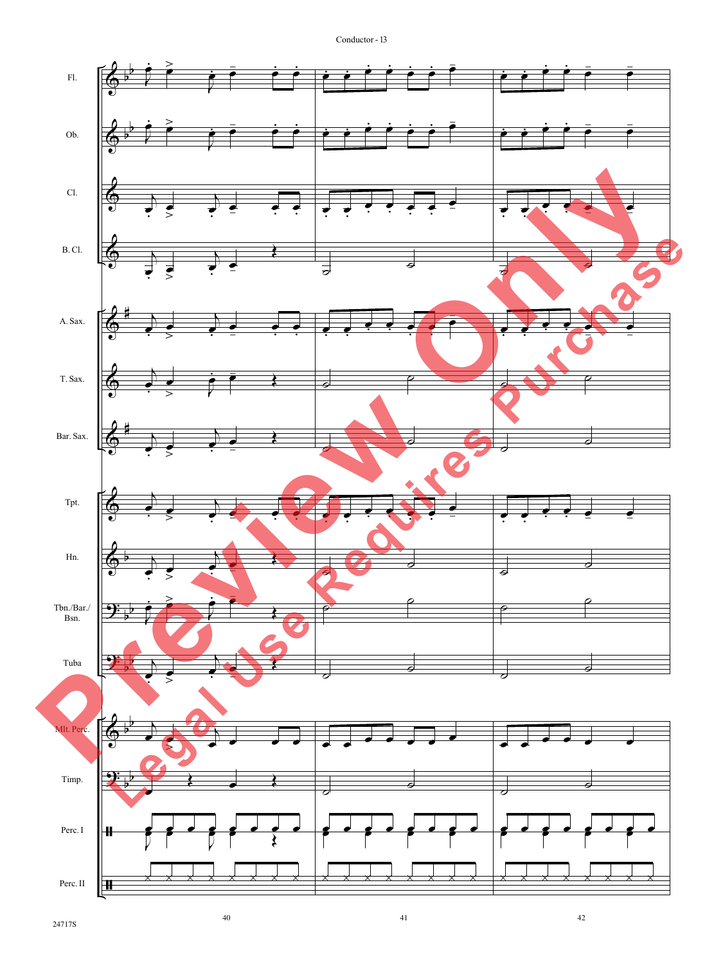

 $41$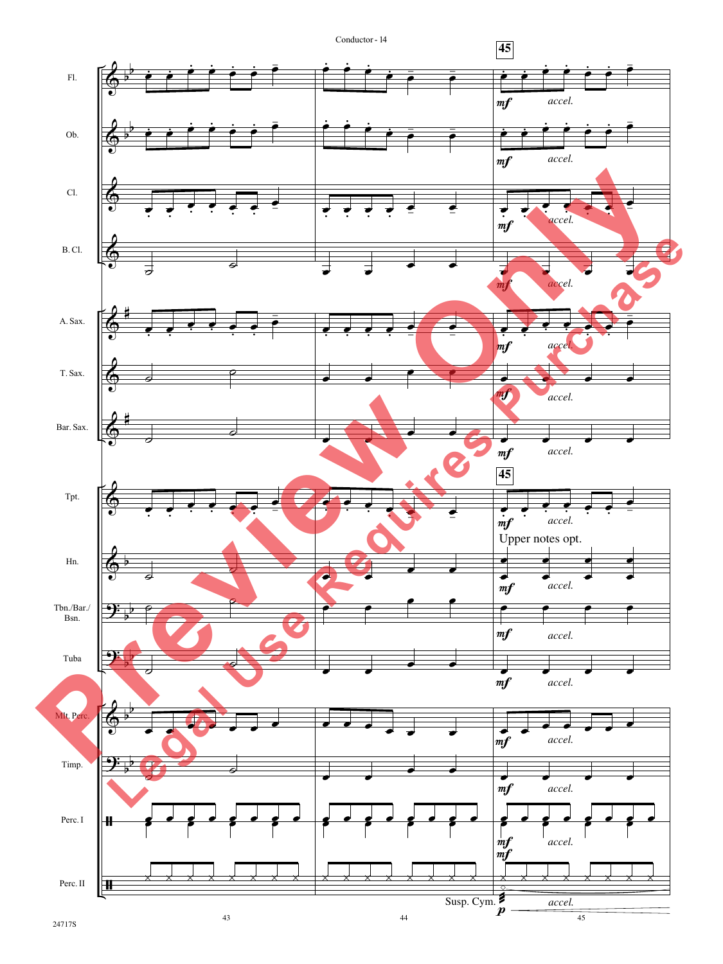